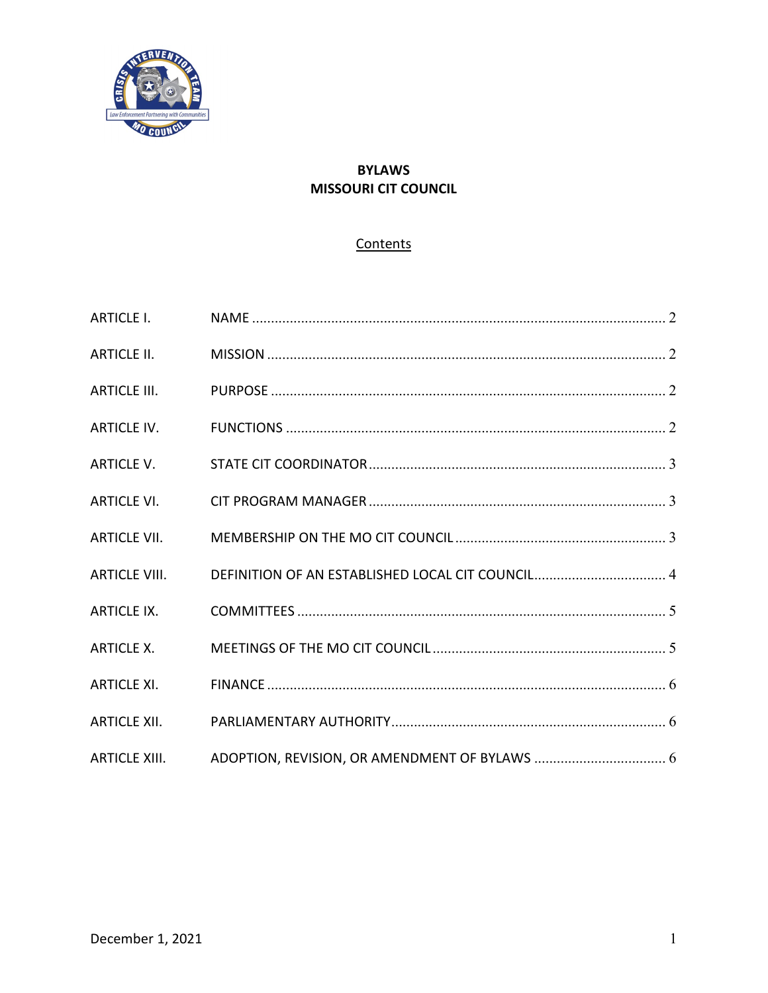

# **BYLAWS MISSOURI CIT COUNCIL**

# Contents

| ARTICLE I.          |  |
|---------------------|--|
|                     |  |
| <b>ARTICLE III.</b> |  |
|                     |  |
|                     |  |
|                     |  |
|                     |  |
|                     |  |
| ARTICLE IX.         |  |
|                     |  |
|                     |  |
|                     |  |
|                     |  |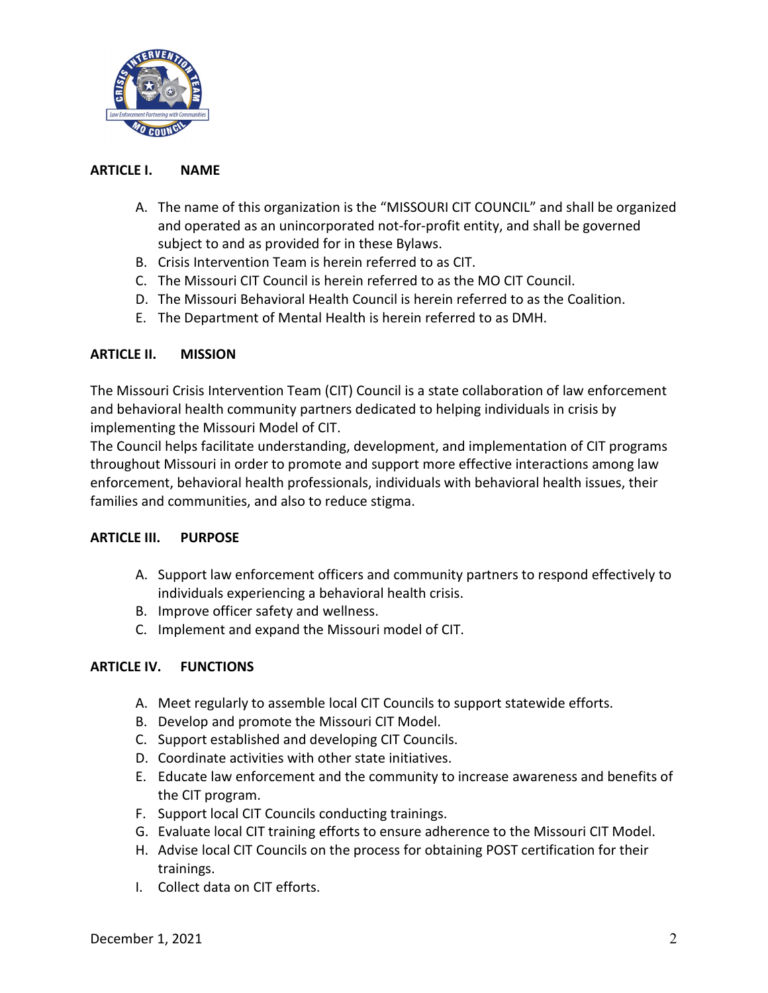

## <span id="page-1-0"></span>**ARTICLE I. NAME**

- A. The name of this organization is the "MISSOURI CIT COUNCIL" and shall be organized and operated as an unincorporated not-for-profit entity, and shall be governed subject to and as provided for in these Bylaws.
- B. Crisis Intervention Team is herein referred to as CIT.
- C. The Missouri CIT Council is herein referred to as the MO CIT Council.
- D. The Missouri Behavioral Health Council is herein referred to as the Coalition.
- E. The Department of Mental Health is herein referred to as DMH.

## <span id="page-1-1"></span>**ARTICLE II. MISSION**

The Missouri Crisis Intervention Team (CIT) Council is a state collaboration of law enforcement and behavioral health community partners dedicated to helping individuals in crisis by implementing the Missouri Model of CIT.

The Council helps facilitate understanding, development, and implementation of CIT programs throughout Missouri in order to promote and support more effective interactions among law enforcement, behavioral health professionals, individuals with behavioral health issues, their families and communities, and also to reduce stigma.

#### <span id="page-1-2"></span>**ARTICLE III. PURPOSE**

- A. Support law enforcement officers and community partners to respond effectively to individuals experiencing a behavioral health crisis.
- B. Improve officer safety and wellness.
- C. Implement and expand the Missouri model of CIT.

# <span id="page-1-3"></span>**ARTICLE IV. FUNCTIONS**

- A. Meet regularly to assemble local CIT Councils to support statewide efforts.
- B. Develop and promote the Missouri CIT Model.
- C. Support established and developing CIT Councils.
- D. Coordinate activities with other state initiatives.
- E. Educate law enforcement and the community to increase awareness and benefits of the CIT program.
- F. Support local CIT Councils conducting trainings.
- G. Evaluate local CIT training efforts to ensure adherence to the Missouri CIT Model.
- H. Advise local CIT Councils on the process for obtaining POST certification for their trainings.
- I. Collect data on CIT efforts.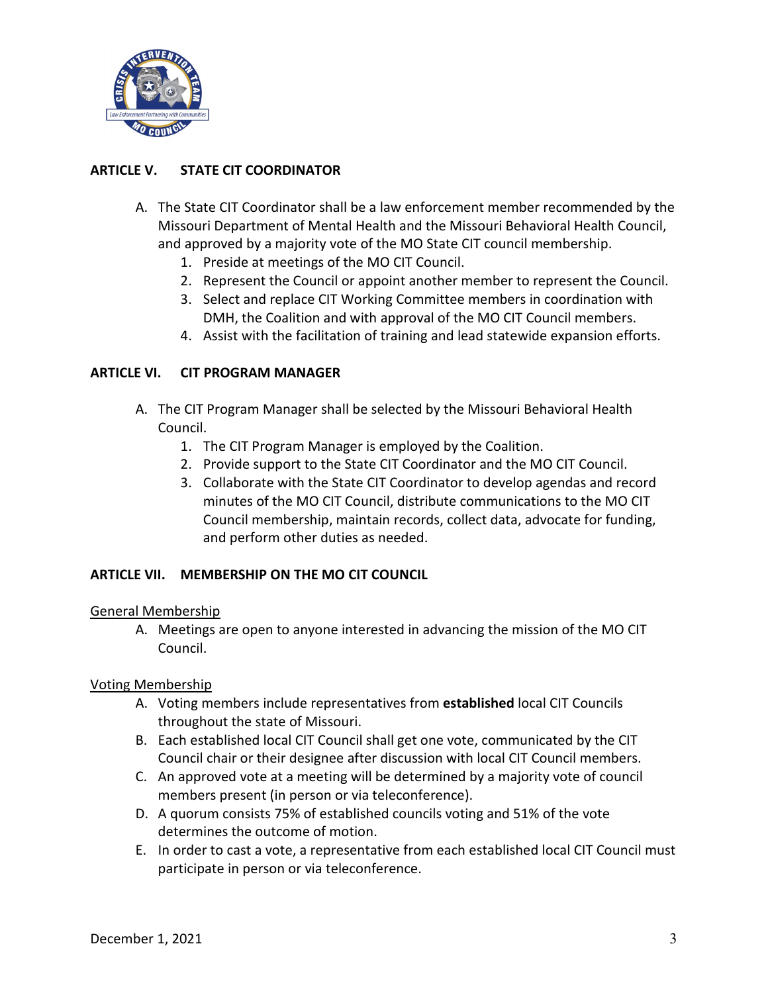

# <span id="page-2-0"></span>**ARTICLE V. STATE CIT COORDINATOR**

- A. The State CIT Coordinator shall be a law enforcement member recommended by the Missouri Department of Mental Health and the Missouri Behavioral Health Council, and approved by a majority vote of the MO State CIT council membership.
	- 1. Preside at meetings of the MO CIT Council.
	- 2. Represent the Council or appoint another member to represent the Council.
	- 3. Select and replace CIT Working Committee members in coordination with DMH, the Coalition and with approval of the MO CIT Council members.
	- 4. Assist with the facilitation of training and lead statewide expansion efforts.

## <span id="page-2-1"></span>**ARTICLE VI. CIT PROGRAM MANAGER**

- A. The CIT Program Manager shall be selected by the Missouri Behavioral Health Council.
	- 1. The CIT Program Manager is employed by the Coalition.
	- 2. Provide support to the State CIT Coordinator and the MO CIT Council.
	- 3. Collaborate with the State CIT Coordinator to develop agendas and record minutes of the MO CIT Council, distribute communications to the MO CIT Council membership, maintain records, collect data, advocate for funding, and perform other duties as needed.

#### <span id="page-2-2"></span>**ARTICLE VII. MEMBERSHIP ON THE MO CIT COUNCIL**

#### General Membership

A. Meetings are open to anyone interested in advancing the mission of the MO CIT Council.

#### Voting Membership

- A. Voting members include representatives from **established** local CIT Councils throughout the state of Missouri.
- B. Each established local CIT Council shall get one vote, communicated by the CIT Council chair or their designee after discussion with local CIT Council members.
- C. An approved vote at a meeting will be determined by a majority vote of council members present (in person or via teleconference).
- D. A quorum consists 75% of established councils voting and 51% of the vote determines the outcome of motion.
- E. In order to cast a vote, a representative from each established local CIT Council must participate in person or via teleconference.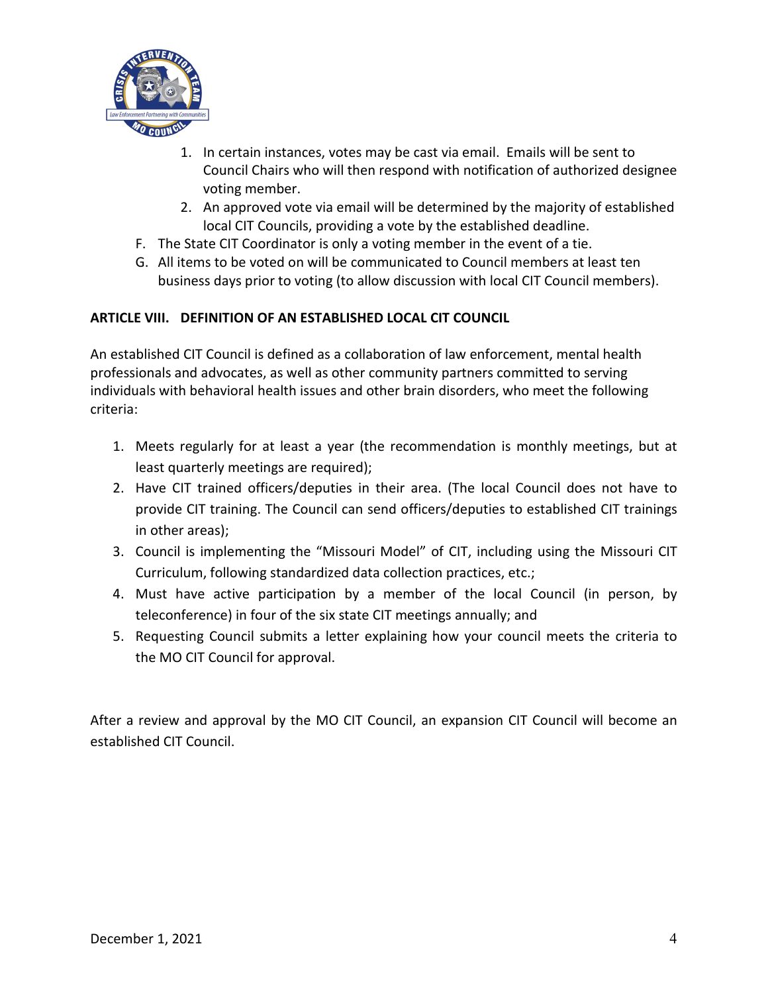

- 1. In certain instances, votes may be cast via email. Emails will be sent to Council Chairs who will then respond with notification of authorized designee voting member.
- 2. An approved vote via email will be determined by the majority of established local CIT Councils, providing a vote by the established deadline.
- F. The State CIT Coordinator is only a voting member in the event of a tie.
- G. All items to be voted on will be communicated to Council members at least ten business days prior to voting (to allow discussion with local CIT Council members).

# <span id="page-3-0"></span>**ARTICLE VIII. DEFINITION OF AN ESTABLISHED LOCAL CIT COUNCIL**

An established CIT Council is defined as a collaboration of law enforcement, mental health professionals and advocates, as well as other community partners committed to serving individuals with behavioral health issues and other brain disorders, who meet the following criteria:

- 1. Meets regularly for at least a year (the recommendation is monthly meetings, but at least quarterly meetings are required);
- 2. Have CIT trained officers/deputies in their area. (The local Council does not have to provide CIT training. The Council can send officers/deputies to established CIT trainings in other areas);
- 3. Council is implementing the "Missouri Model" of CIT, including using the Missouri CIT Curriculum, following standardized data collection practices, etc.;
- 4. Must have active participation by a member of the local Council (in person, by teleconference) in four of the six state CIT meetings annually; and
- 5. Requesting Council submits a letter explaining how your council meets the criteria to the MO CIT Council for approval.

After a review and approval by the MO CIT Council, an expansion CIT Council will become an established CIT Council.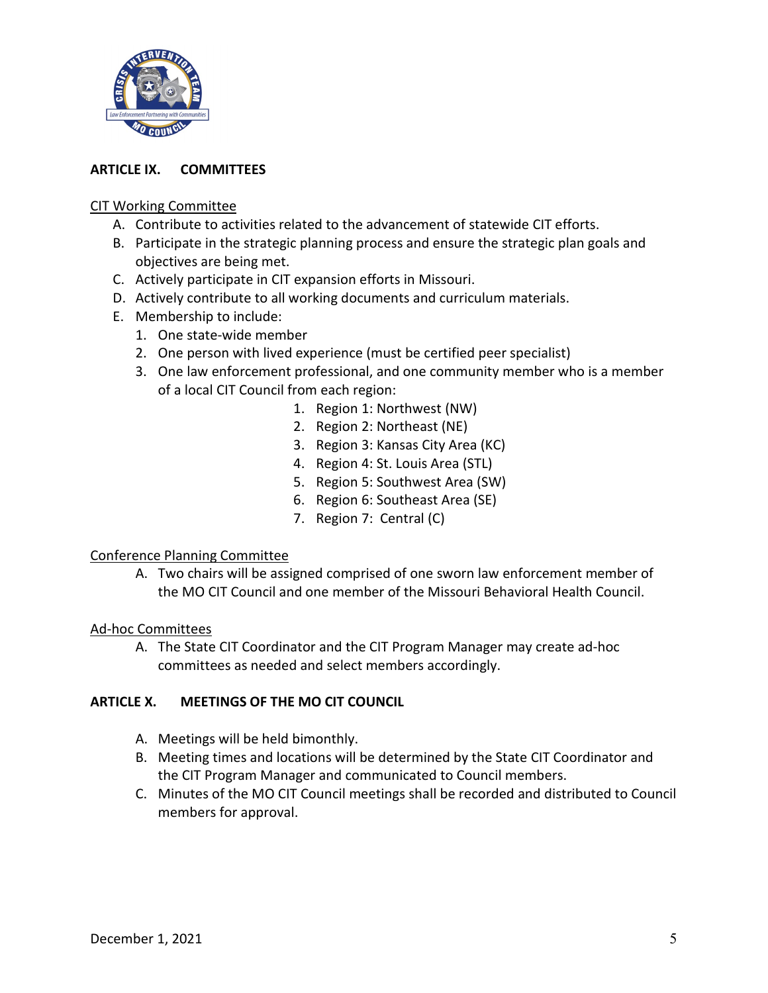

# <span id="page-4-0"></span>**ARTICLE IX. COMMITTEES**

## CIT Working Committee

- A. Contribute to activities related to the advancement of statewide CIT efforts.
- B. Participate in the strategic planning process and ensure the strategic plan goals and objectives are being met.
- C. Actively participate in CIT expansion efforts in Missouri.
- D. Actively contribute to all working documents and curriculum materials.
- E. Membership to include:
	- 1. One state-wide member
	- 2. One person with lived experience (must be certified peer specialist)
	- 3. One law enforcement professional, and one community member who is a member of a local CIT Council from each region:
		- 1. Region 1: Northwest (NW)
		- 2. Region 2: Northeast (NE)
		- 3. Region 3: Kansas City Area (KC)
		- 4. Region 4: St. Louis Area (STL)
		- 5. Region 5: Southwest Area (SW)
		- 6. Region 6: Southeast Area (SE)
		- 7. Region 7: Central (C)

#### Conference Planning Committee

A. Two chairs will be assigned comprised of one sworn law enforcement member of the MO CIT Council and one member of the Missouri Behavioral Health Council.

#### Ad-hoc Committees

A. The State CIT Coordinator and the CIT Program Manager may create ad-hoc committees as needed and select members accordingly.

#### <span id="page-4-1"></span>**ARTICLE X. MEETINGS OF THE MO CIT COUNCIL**

- A. Meetings will be held bimonthly.
- B. Meeting times and locations will be determined by the State CIT Coordinator and the CIT Program Manager and communicated to Council members.
- C. Minutes of the MO CIT Council meetings shall be recorded and distributed to Council members for approval.